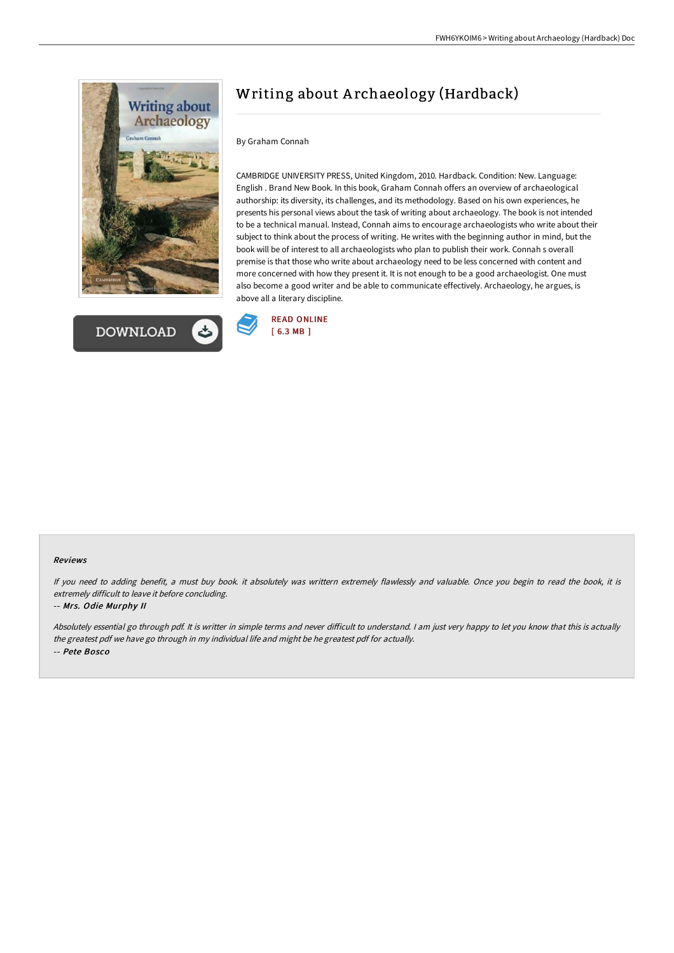



# Writing about A rchaeology (Hardback)

### By Graham Connah

CAMBRIDGE UNIVERSITY PRESS, United Kingdom, 2010. Hardback. Condition: New. Language: English . Brand New Book. In this book, Graham Connah offers an overview of archaeological authorship: its diversity, its challenges, and its methodology. Based on his own experiences, he presents his personal views about the task of writing about archaeology. The book is not intended to be a technical manual. Instead, Connah aims to encourage archaeologists who write about their subject to think about the process of writing. He writes with the beginning author in mind, but the book will be of interest to all archaeologists who plan to publish their work. Connah s overall premise is that those who write about archaeology need to be less concerned with content and more concerned with how they present it. It is not enough to be a good archaeologist. One must also become a good writer and be able to communicate effectively. Archaeology, he argues, is above all a literary discipline.



#### Reviews

If you need to adding benefit, <sup>a</sup> must buy book. it absolutely was writtern extremely flawlessly and valuable. Once you begin to read the book, it is extremely difficult to leave it before concluding.

#### -- Mrs. Odie Murphy II

Absolutely essential go through pdf. It is writter in simple terms and never difficult to understand. I am just very happy to let you know that this is actually the greatest pdf we have go through in my individual life and might be he greatest pdf for actually. -- Pete Bosco